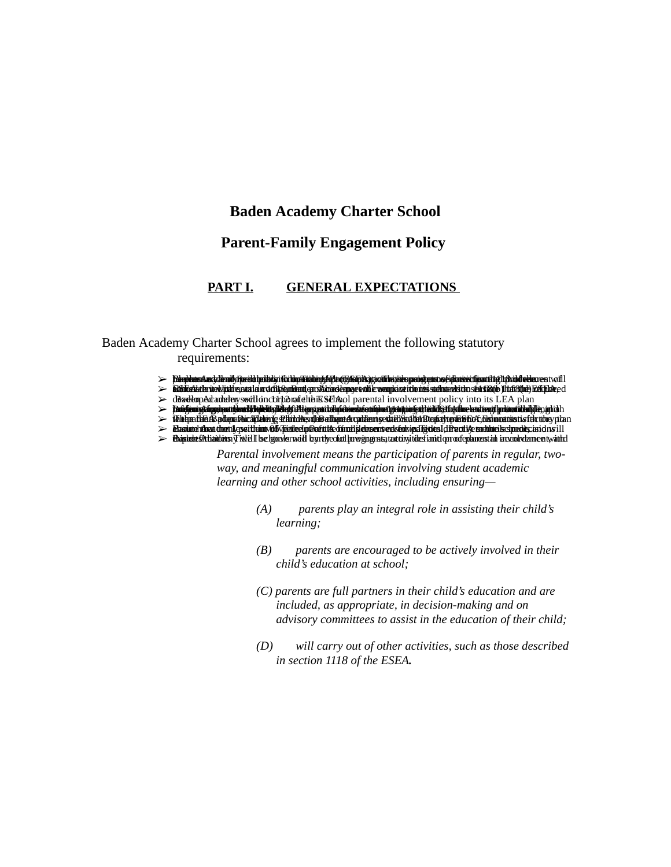## **Baden Academy Charter School**

# **Parent-Family Engagement Policy**

#### **PART I. GENERAL EXPECTATIONS**

Baden Academy Charter School agrees to implement the following statutory requirements:

- → BirobhumAmchthrodkforúld priblig i féi bhrú fiabhryk Pardyk Bjórdfilmi side proighnan of alta tért fiast i hyl i fhádd a blan e stwil l<br>→ Gibliotka lu úrkladde part lei a defi fembrut en sklaard emprevalde vengla or i d
- 
- $\triangleright$  dBardempAdradien by section comporate this School parental involvement policy into its LEA plan
- $\triangleright$  Pangirmytingoraatyksuttivät työkyttä tittympaitalunakuontamatytan myösti eiläkyttyiline lastinnyttyrineiltalyte, ania h
- $\triangleright$  the perfect of a set of the set of the set of the set of the set of the perfect of the set of the set of the set of the set of the set of the set of the set of the set of the set of the set of the set of the set of

≫ Flasilineh Anaa üheri kassittiinn AbSpäälleelipäerittä ofinat ja lensen verkslukina Täjdes kitä partke seduksi sai oli sill<br>→ Flasilides Attiaidius (Field Hae hao der nei Haertly eoliat horvignas tartinyi ides lant opro

*Parental involvement means the participation of parents in regular, twoway, and meaningful communication involving student academic learning and other school activities, including ensuring—*

- *(A) parents play an integral role in assisting their child's learning;*
- *(B) parents are encouraged to be actively involved in their child's education at school;*
- *(C) parents are full partners in their child's education and are included, as appropriate, in decision-making and on advisory committees to assist in the education of their child;*
- *(D) will carry out of other activities, such as those described in section 1118 of the ESEA.*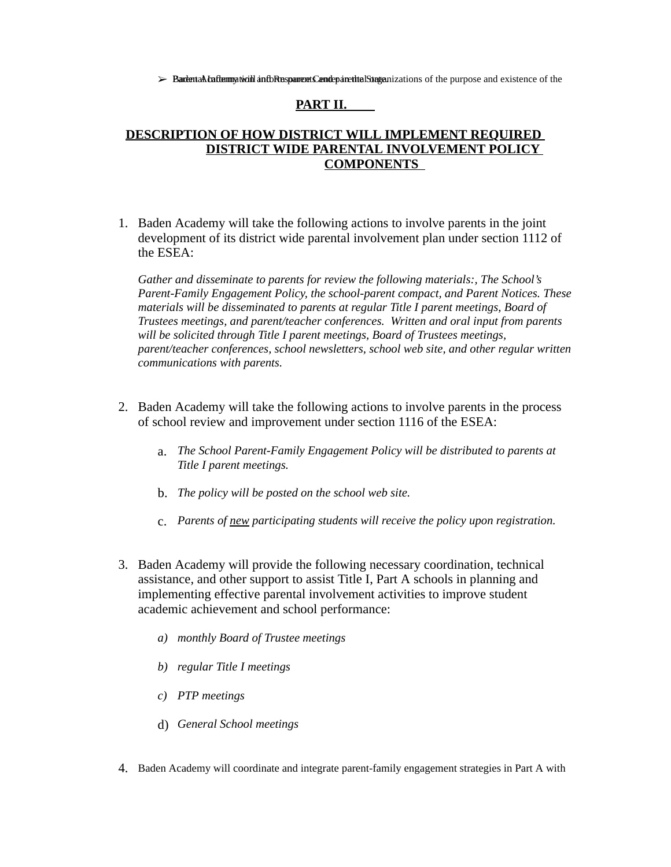$\triangleright$  Bardental Lafturn particulul and DRussparrents Candeparent the State parameter in the purpose and existence of the

#### **PART II.**

### **DESCRIPTION OF HOW DISTRICT WILL IMPLEMENT REQUIRED DISTRICT WIDE PARENTAL INVOLVEMENT POLICY COMPONENTS**

1. Baden Academy will take the following actions to involve parents in the joint development of its district wide parental involvement plan under section 1112 of the ESEA:

*Gather and disseminate to parents for review the following materials:, The School's Parent-Family Engagement Policy, the school-parent compact, and Parent Notices. These materials will be disseminated to parents at regular Title I parent meetings, Board of Trustees meetings, and parent/teacher conferences. Written and oral input from parents will be solicited through Title I parent meetings, Board of Trustees meetings, parent/teacher conferences, school newsletters, school web site, and other regular written communications with parents.*

- 2. Baden Academy will take the following actions to involve parents in the process of school review and improvement under section 1116 of the ESEA:
	- *The School Parent-Family Engagement Policy will be distributed to parents at* a. *Title I parent meetings.*
	- b. *The policy will be posted on the school web site.*
	- c. *Parents of new participating students will receive the policy upon registration.*
- 3. Baden Academy will provide the following necessary coordination, technical assistance, and other support to assist Title I, Part A schools in planning and implementing effective parental involvement activities to improve student academic achievement and school performance:
	- *a) monthly Board of Trustee meetings*
	- *b) regular Title I meetings*
	- *c) PTP meetings*
	- d) *General School meetings*
- 4. Baden Academy will coordinate and integrate parent-family engagement strategies in Part A with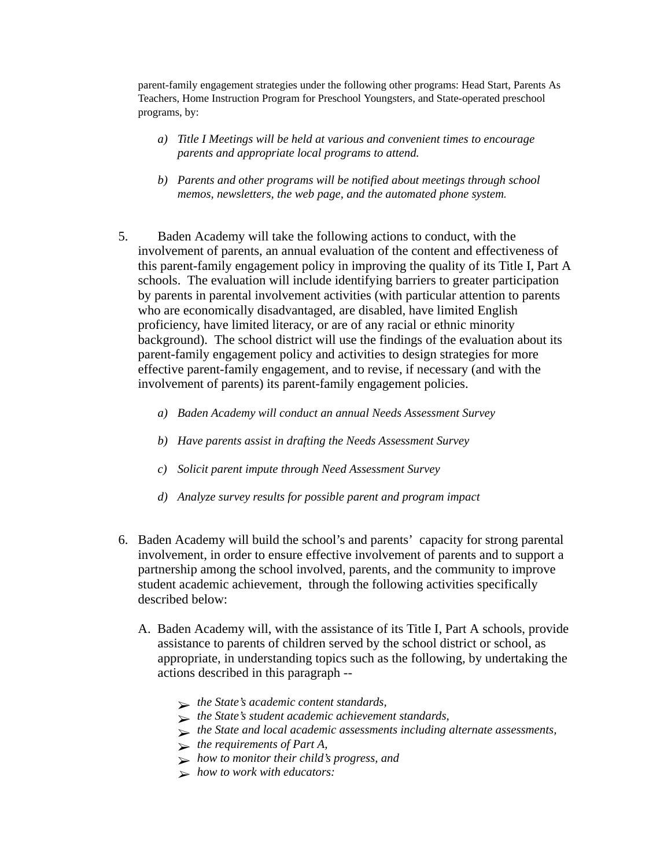parent-family engagement strategies under the following other programs: Head Start, Parents As Teachers, Home Instruction Program for Preschool Youngsters, and State-operated preschool programs, by:

- *Title I Meetings will be held at various and convenient times to encourage a) parents and appropriate local programs to attend.*
- *Parents and other programs will be notified about meetings through school b) memos, newsletters, the web page, and the automated phone system.*
- 5. Baden Academy will take the following actions to conduct, with the involvement of parents, an annual evaluation of the content and effectiveness of this parent-family engagement policy in improving the quality of its Title I, Part A schools. The evaluation will include identifying barriers to greater participation by parents in parental involvement activities (with particular attention to parents who are economically disadvantaged, are disabled, have limited English proficiency, have limited literacy, or are of any racial or ethnic minority background). The school district will use the findings of the evaluation about its parent-family engagement policy and activities to design strategies for more effective parent-family engagement, and to revise, if necessary (and with the involvement of parents) its parent-family engagement policies.
	- *a) Baden Academy will conduct an annual Needs Assessment Survey*
	- *b) Have parents assist in drafting the Needs Assessment Survey*
	- *c) Solicit parent impute through Need Assessment Survey*
	- *d) Analyze survey results for possible parent and program impact*
- 6. Baden Academy will build the school's and parents' capacity for strong parental involvement, in order to ensure effective involvement of parents and to support a partnership among the school involved, parents, and the community to improve student academic achievement, through the following activities specifically described below:
	- A. Baden Academy will, with the assistance of its Title I, Part A schools, provide assistance to parents of children served by the school district or school, as appropriate, in understanding topics such as the following, by undertaking the actions described in this paragraph --
		- ➢ *the State's academic content standards,*
		- ➢ *the State's student academic achievement standards,*
		- ➢ *the State and local academic assessments including alternate assessments,*
		- ➢ *the requirements of Part A,*
		- ➢ *how to monitor their child's progress, and*
		- ➢ *how to work with educators:*